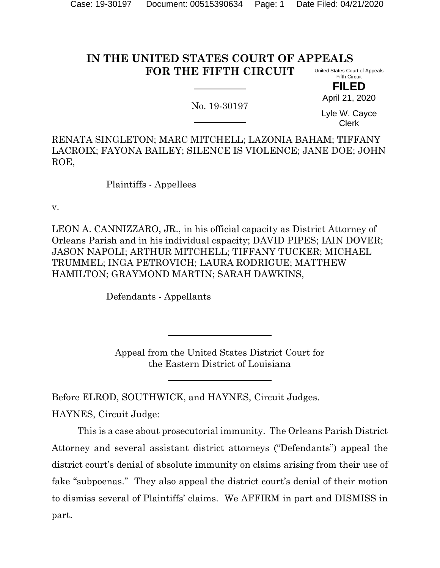#### **IN THE UNITED STATES COURT OF APPEALS FOR THE FIFTH CIRCUIT** United States Court of Appeals Fifth Circuit

**FILED** April 21, 2020

No. 19-30197

Lyle W. Cayce Clerk

RENATA SINGLETON; MARC MITCHELL; LAZONIA BAHAM; TIFFANY LACROIX; FAYONA BAILEY; SILENCE IS VIOLENCE; JANE DOE; JOHN ROE,

Plaintiffs - Appellees

v.

LEON A. CANNIZZARO, JR., in his official capacity as District Attorney of Orleans Parish and in his individual capacity; DAVID PIPES; IAIN DOVER; JASON NAPOLI; ARTHUR MITCHELL; TIFFANY TUCKER; MICHAEL TRUMMEL; INGA PETROVICH; LAURA RODRIGUE; MATTHEW HAMILTON; GRAYMOND MARTIN; SARAH DAWKINS,

Defendants - Appellants

Appeal from the United States District Court for the Eastern District of Louisiana

Before ELROD, SOUTHWICK, and HAYNES, Circuit Judges.

HAYNES, Circuit Judge:

This is a case about prosecutorial immunity. The Orleans Parish District Attorney and several assistant district attorneys ("Defendants") appeal the district court's denial of absolute immunity on claims arising from their use of fake "subpoenas." They also appeal the district court's denial of their motion to dismiss several of Plaintiffs' claims. We AFFIRM in part and DISMISS in part.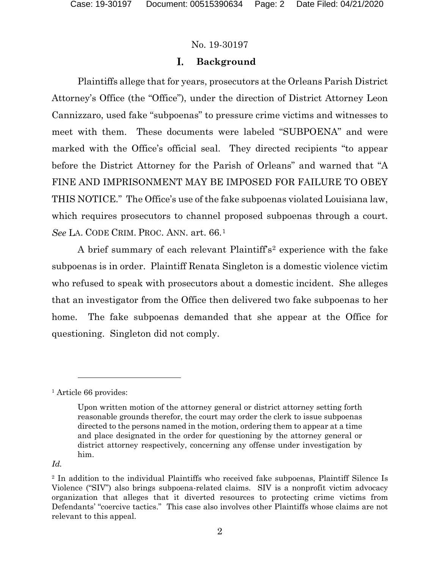#### I. **Background**

Plaintiffs allege that for years, prosecutors at the Orleans Parish District Attorney's Office (the "Office"), under the direction of District Attorney Leon Cannizzaro, used fake "subpoenas" to pressure crime victims and witnesses to meet with them. These documents were labeled "SUBPOENA" and were marked with the Office's official seal. They directed recipients "to appear before the District Attorney for the Parish of Orleans" and warned that "A FINE AND IMPRISONMENT MAY BE IMPOSED FOR FAILURE TO OBEY THIS NOTICE." The Office's use of the fake subpoenas violated Louisiana law, which requires prosecutors to channel proposed subpoenas through a court. *See* LA. CODE CRIM. PROC. ANN. art. 66.[1](#page-1-0)

A brief summary of each relevant Plaintiff's<sup>[2](#page-1-1)</sup> experience with the fake subpoenas is in order. Plaintiff Renata Singleton is a domestic violence victim who refused to speak with prosecutors about a domestic incident. She alleges that an investigator from the Office then delivered two fake subpoenas to her home. The fake subpoenas demanded that she appear at the Office for questioning. Singleton did not comply.

#### *Id.*

<span id="page-1-0"></span><sup>1</sup> Article 66 provides:

Upon written motion of the attorney general or district attorney setting forth reasonable grounds therefor, the court may order the clerk to issue subpoenas directed to the persons named in the motion, ordering them to appear at a time and place designated in the order for questioning by the attorney general or district attorney respectively, concerning any offense under investigation by him.

<span id="page-1-1"></span><sup>2</sup> In addition to the individual Plaintiffs who received fake subpoenas, Plaintiff Silence Is Violence ("SIV") also brings subpoena-related claims. SIV is a nonprofit victim advocacy organization that alleges that it diverted resources to protecting crime victims from Defendants' "coercive tactics." This case also involves other Plaintiffs whose claims are not relevant to this appeal.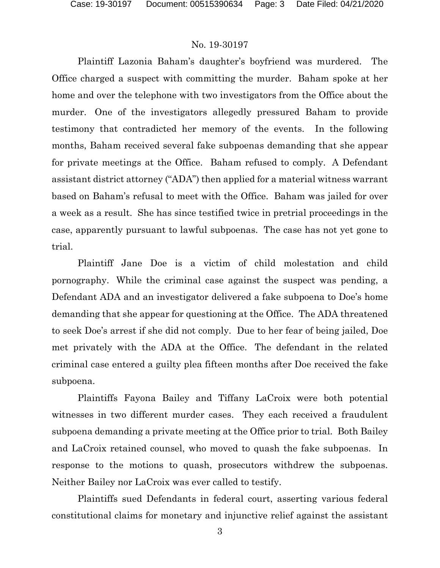Plaintiff Lazonia Baham's daughter's boyfriend was murdered. The Office charged a suspect with committing the murder. Baham spoke at her home and over the telephone with two investigators from the Office about the murder. One of the investigators allegedly pressured Baham to provide testimony that contradicted her memory of the events. In the following months, Baham received several fake subpoenas demanding that she appear for private meetings at the Office. Baham refused to comply. A Defendant assistant district attorney ("ADA") then applied for a material witness warrant based on Baham's refusal to meet with the Office. Baham was jailed for over a week as a result. She has since testified twice in pretrial proceedings in the case, apparently pursuant to lawful subpoenas. The case has not yet gone to trial.

Plaintiff Jane Doe is a victim of child molestation and child pornography. While the criminal case against the suspect was pending, a Defendant ADA and an investigator delivered a fake subpoena to Doe's home demanding that she appear for questioning at the Office. The ADA threatened to seek Doe's arrest if she did not comply. Due to her fear of being jailed, Doe met privately with the ADA at the Office. The defendant in the related criminal case entered a guilty plea fifteen months after Doe received the fake subpoena.

Plaintiffs Fayona Bailey and Tiffany LaCroix were both potential witnesses in two different murder cases. They each received a fraudulent subpoena demanding a private meeting at the Office prior to trial. Both Bailey and LaCroix retained counsel, who moved to quash the fake subpoenas. In response to the motions to quash, prosecutors withdrew the subpoenas. Neither Bailey nor LaCroix was ever called to testify.

Plaintiffs sued Defendants in federal court, asserting various federal constitutional claims for monetary and injunctive relief against the assistant

3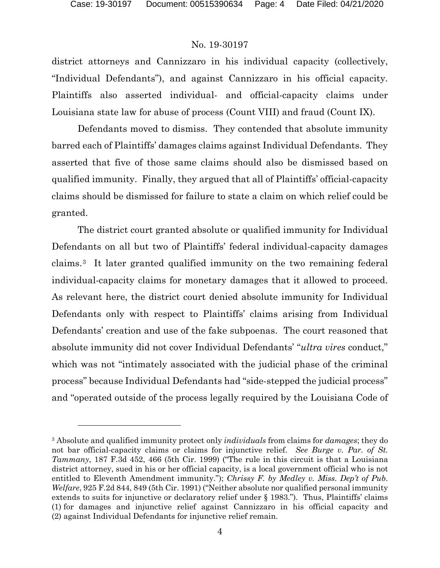district attorneys and Cannizzaro in his individual capacity (collectively, "Individual Defendants"), and against Cannizzaro in his official capacity. Plaintiffs also asserted individual- and official-capacity claims under Louisiana state law for abuse of process (Count VIII) and fraud (Count IX).

Defendants moved to dismiss. They contended that absolute immunity barred each of Plaintiffs' damages claims against Individual Defendants. They asserted that five of those same claims should also be dismissed based on qualified immunity. Finally, they argued that all of Plaintiffs' official-capacity claims should be dismissed for failure to state a claim on which relief could be granted.

The district court granted absolute or qualified immunity for Individual Defendants on all but two of Plaintiffs' federal individual-capacity damages claims.[3](#page-3-0) It later granted qualified immunity on the two remaining federal individual-capacity claims for monetary damages that it allowed to proceed. As relevant here, the district court denied absolute immunity for Individual Defendants only with respect to Plaintiffs' claims arising from Individual Defendants' creation and use of the fake subpoenas. The court reasoned that absolute immunity did not cover Individual Defendants' "*ultra vires* conduct," which was not "intimately associated with the judicial phase of the criminal process" because Individual Defendants had "side-stepped the judicial process" and "operated outside of the process legally required by the Louisiana Code of

<span id="page-3-0"></span><sup>3</sup> Absolute and qualified immunity protect only *individuals* from claims for *damages*; they do not bar official-capacity claims or claims for injunctive relief. *See Burge v. Par. of St. Tammany*, 187 F.3d 452, 466 (5th Cir. 1999) ("The rule in this circuit is that a Louisiana district attorney, sued in his or her official capacity, is a local government official who is not entitled to Eleventh Amendment immunity."); *Chrissy F. by Medley v. Miss. Dep't of Pub. Welfare*, 925 F.2d 844, 849 (5th Cir. 1991) ("Neither absolute nor qualified personal immunity extends to suits for injunctive or declaratory relief under § 1983."). Thus, Plaintiffs' claims (1) for damages and injunctive relief against Cannizzaro in his official capacity and (2) against Individual Defendants for injunctive relief remain.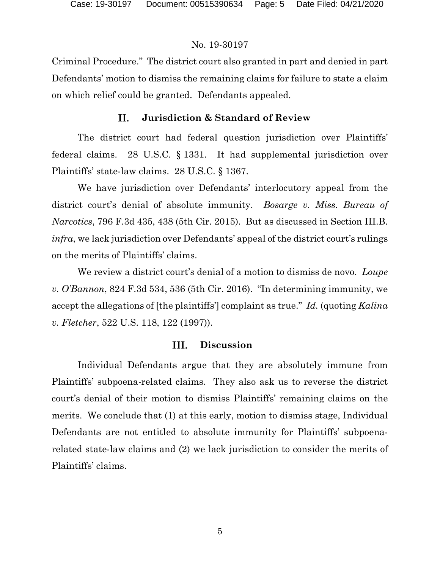Criminal Procedure." The district court also granted in part and denied in part Defendants' motion to dismiss the remaining claims for failure to state a claim on which relief could be granted. Defendants appealed.

#### П. **Jurisdiction & Standard of Review**

The district court had federal question jurisdiction over Plaintiffs' federal claims. 28 U.S.C. § 1331. It had supplemental jurisdiction over Plaintiffs' state-law claims. 28 U.S.C. § 1367.

We have jurisdiction over Defendants' interlocutory appeal from the district court's denial of absolute immunity. *Bosarge v. Miss. Bureau of Narcotics*, 796 F.3d 435, 438 (5th Cir. 2015). But as discussed in Section III.B. *infra*, we lack jurisdiction over Defendants' appeal of the district court's rulings on the merits of Plaintiffs' claims.

We review a district court's denial of a motion to dismiss de novo. *Loupe v. O'Bannon*, 824 F.3d 534, 536 (5th Cir. 2016). "In determining immunity, we accept the allegations of [the plaintiffs'] complaint as true." *Id.* (quoting *Kalina v. Fletcher*, 522 U.S. 118, 122 (1997)).

#### III. **Discussion**

Individual Defendants argue that they are absolutely immune from Plaintiffs' subpoena-related claims. They also ask us to reverse the district court's denial of their motion to dismiss Plaintiffs' remaining claims on the merits. We conclude that (1) at this early, motion to dismiss stage, Individual Defendants are not entitled to absolute immunity for Plaintiffs' subpoenarelated state-law claims and (2) we lack jurisdiction to consider the merits of Plaintiffs' claims.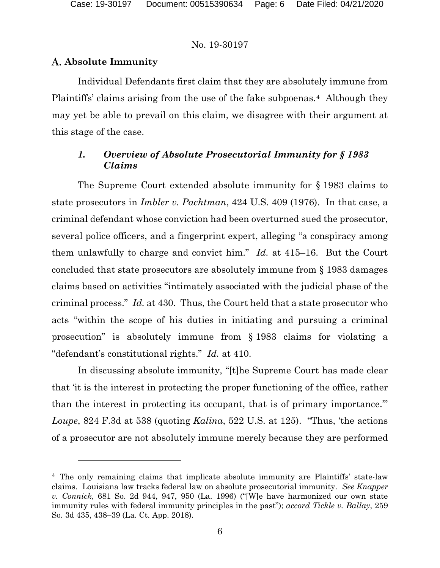### **Absolute Immunity**

Individual Defendants first claim that they are absolutely immune from Plaintiffs' claims arising from the use of the fake subpoenas.<sup>[4](#page-5-0)</sup> Although they may yet be able to prevail on this claim, we disagree with their argument at this stage of the case.

# *1. Overview of Absolute Prosecutorial Immunity for § 1983 Claims*

The Supreme Court extended absolute immunity for § 1983 claims to state prosecutors in *Imbler v. Pachtman*, 424 U.S. 409 (1976). In that case, a criminal defendant whose conviction had been overturned sued the prosecutor, several police officers, and a fingerprint expert, alleging "a conspiracy among them unlawfully to charge and convict him." *Id.* at 415–16. But the Court concluded that state prosecutors are absolutely immune from § 1983 damages claims based on activities "intimately associated with the judicial phase of the criminal process." *Id.* at 430. Thus, the Court held that a state prosecutor who acts "within the scope of his duties in initiating and pursuing a criminal prosecution" is absolutely immune from § 1983 claims for violating a "defendant's constitutional rights." *Id.* at 410.

In discussing absolute immunity, "[t]he Supreme Court has made clear that 'it is the interest in protecting the proper functioning of the office, rather than the interest in protecting its occupant, that is of primary importance.'" *Loupe*, 824 F.3d at 538 (quoting *Kalina*, 522 U.S. at 125). "Thus, 'the actions of a prosecutor are not absolutely immune merely because they are performed

<span id="page-5-0"></span><sup>4</sup> The only remaining claims that implicate absolute immunity are Plaintiffs' state-law claims. Louisiana law tracks federal law on absolute prosecutorial immunity. *See Knapper v. Connick*, 681 So. 2d 944, 947, 950 (La. 1996) ("[W]e have harmonized our own state immunity rules with federal immunity principles in the past"); *accord Tickle v. Ballay*, 259 So. 3d 435, 438–39 (La. Ct. App. 2018).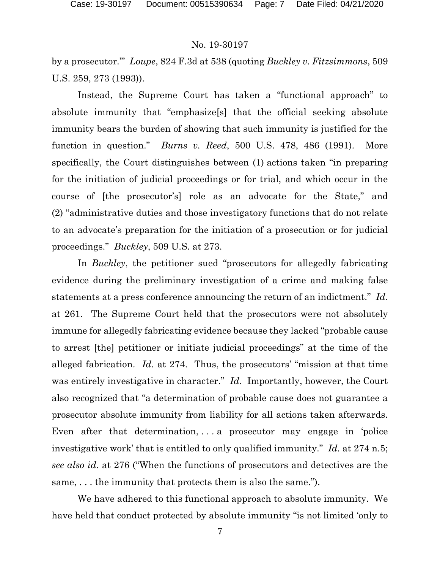by a prosecutor.'" *Loupe*, 824 F.3d at 538 (quoting *Buckley v. Fitzsimmons*, 509 U.S. 259, 273 (1993)).

Instead, the Supreme Court has taken a "functional approach" to absolute immunity that "emphasize[s] that the official seeking absolute immunity bears the burden of showing that such immunity is justified for the function in question." *Burns v. Reed*, 500 U.S. 478, 486 (1991). More specifically, the Court distinguishes between (1) actions taken "in preparing for the initiation of judicial proceedings or for trial, and which occur in the course of [the prosecutor's] role as an advocate for the State," and (2) "administrative duties and those investigatory functions that do not relate to an advocate's preparation for the initiation of a prosecution or for judicial proceedings." *Buckley*, 509 U.S. at 273.

In *Buckley*, the petitioner sued "prosecutors for allegedly fabricating evidence during the preliminary investigation of a crime and making false statements at a press conference announcing the return of an indictment." *Id.* at 261. The Supreme Court held that the prosecutors were not absolutely immune for allegedly fabricating evidence because they lacked "probable cause to arrest [the] petitioner or initiate judicial proceedings" at the time of the alleged fabrication. *Id.* at 274. Thus, the prosecutors' "mission at that time was entirely investigative in character." *Id.* Importantly, however, the Court also recognized that "a determination of probable cause does not guarantee a prosecutor absolute immunity from liability for all actions taken afterwards. Even after that determination,  $\ldots$  a prosecutor may engage in 'police investigative work' that is entitled to only qualified immunity." *Id.* at 274 n.5; *see also id.* at 276 ("When the functions of prosecutors and detectives are the same, . . . the immunity that protects them is also the same.").

We have adhered to this functional approach to absolute immunity. We have held that conduct protected by absolute immunity "is not limited 'only to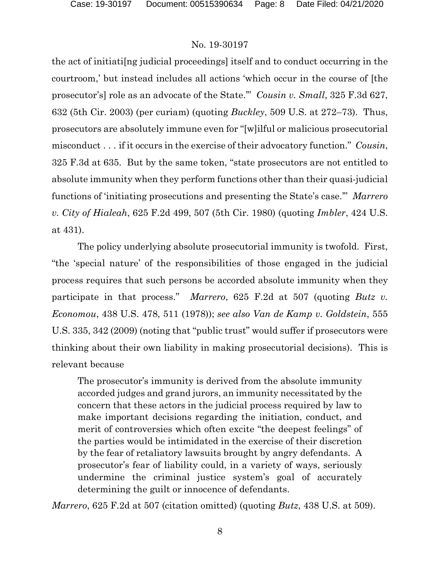the act of initiati[ng judicial proceedings] itself and to conduct occurring in the courtroom,' but instead includes all actions 'which occur in the course of [the prosecutor's] role as an advocate of the State.'" *Cousin v. Small*, 325 F.3d 627, 632 (5th Cir. 2003) (per curiam) (quoting *Buckley*, 509 U.S. at 272–73). Thus, prosecutors are absolutely immune even for "[w]ilful or malicious prosecutorial misconduct . . . if it occurs in the exercise of their advocatory function." *Cousin*, 325 F.3d at 635. But by the same token, "state prosecutors are not entitled to absolute immunity when they perform functions other than their quasi-judicial functions of 'initiating prosecutions and presenting the State's case.'" *Marrero v. City of Hialeah*, 625 F.2d 499, 507 (5th Cir. 1980) (quoting *Imbler*, 424 U.S. at 431).

The policy underlying absolute prosecutorial immunity is twofold. First, "the 'special nature' of the responsibilities of those engaged in the judicial process requires that such persons be accorded absolute immunity when they participate in that process." *Marrero*, 625 F.2d at 507 (quoting *Butz v. Economou*, 438 U.S. 478, 511 (1978)); *see also Van de Kamp v. Goldstein*, 555 U.S. 335, 342 (2009) (noting that "public trust" would suffer if prosecutors were thinking about their own liability in making prosecutorial decisions). This is relevant because

The prosecutor's immunity is derived from the absolute immunity accorded judges and grand jurors, an immunity necessitated by the concern that these actors in the judicial process required by law to make important decisions regarding the initiation, conduct, and merit of controversies which often excite "the deepest feelings" of the parties would be intimidated in the exercise of their discretion by the fear of retaliatory lawsuits brought by angry defendants. A prosecutor's fear of liability could, in a variety of ways, seriously undermine the criminal justice system's goal of accurately determining the guilt or innocence of defendants.

*Marrero*, 625 F.2d at 507 (citation omitted) (quoting *Butz*, 438 U.S. at 509).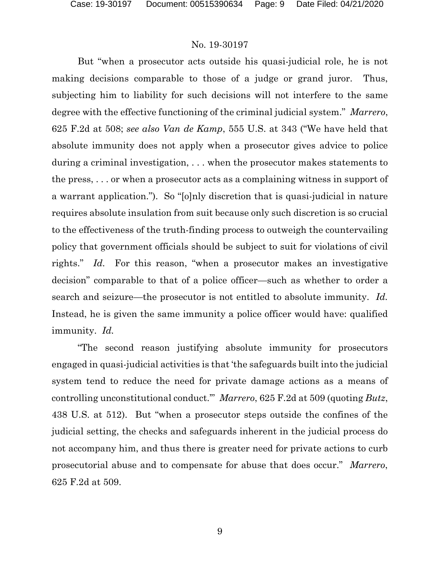But "when a prosecutor acts outside his quasi-judicial role, he is not making decisions comparable to those of a judge or grand juror. Thus, subjecting him to liability for such decisions will not interfere to the same degree with the effective functioning of the criminal judicial system." *Marrero*, 625 F.2d at 508; *see also Van de Kamp*, 555 U.S. at 343 ("We have held that absolute immunity does not apply when a prosecutor gives advice to police during a criminal investigation, . . . when the prosecutor makes statements to the press, . . . or when a prosecutor acts as a complaining witness in support of a warrant application."). So "[o]nly discretion that is quasi-judicial in nature requires absolute insulation from suit because only such discretion is so crucial to the effectiveness of the truth-finding process to outweigh the countervailing policy that government officials should be subject to suit for violations of civil rights." *Id.* For this reason, "when a prosecutor makes an investigative decision" comparable to that of a police officer—such as whether to order a search and seizure—the prosecutor is not entitled to absolute immunity. *Id.* Instead, he is given the same immunity a police officer would have: qualified immunity. *Id.*

"The second reason justifying absolute immunity for prosecutors engaged in quasi-judicial activities is that 'the safeguards built into the judicial system tend to reduce the need for private damage actions as a means of controlling unconstitutional conduct.'" *Marrero*, 625 F.2d at 509 (quoting *Butz*, 438 U.S. at 512). But "when a prosecutor steps outside the confines of the judicial setting, the checks and safeguards inherent in the judicial process do not accompany him, and thus there is greater need for private actions to curb prosecutorial abuse and to compensate for abuse that does occur." *Marrero*, 625 F.2d at 509.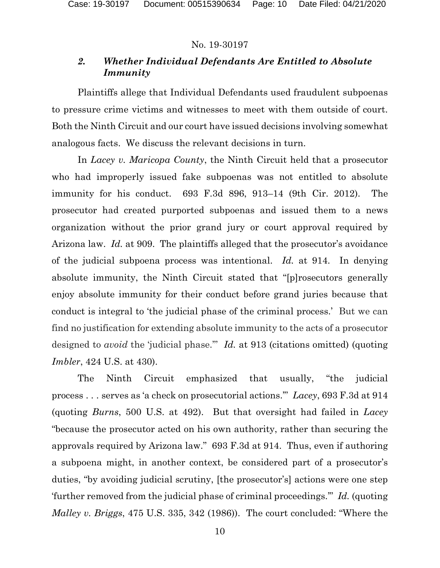# *2. Whether Individual Defendants Are Entitled to Absolute Immunity*

Plaintiffs allege that Individual Defendants used fraudulent subpoenas to pressure crime victims and witnesses to meet with them outside of court. Both the Ninth Circuit and our court have issued decisions involving somewhat analogous facts. We discuss the relevant decisions in turn.

In *Lacey v. Maricopa County*, the Ninth Circuit held that a prosecutor who had improperly issued fake subpoenas was not entitled to absolute immunity for his conduct. 693 F.3d 896, 913–14 (9th Cir. 2012). The prosecutor had created purported subpoenas and issued them to a news organization without the prior grand jury or court approval required by Arizona law. *Id.* at 909. The plaintiffs alleged that the prosecutor's avoidance of the judicial subpoena process was intentional. *Id.* at 914. In denying absolute immunity, the Ninth Circuit stated that "[p]rosecutors generally enjoy absolute immunity for their conduct before grand juries because that conduct is integral to 'the judicial phase of the criminal process.' But we can find no justification for extending absolute immunity to the acts of a prosecutor designed to *avoid* the 'judicial phase.'" *Id.* at 913 (citations omitted) (quoting *Imbler*, 424 U.S. at 430).

The Ninth Circuit emphasized that usually, "the judicial process . . . serves as 'a check on prosecutorial actions.'" *Lacey*, 693 F.3d at 914 (quoting *Burns*, 500 U.S. at 492). But that oversight had failed in *Lacey*  "because the prosecutor acted on his own authority, rather than securing the approvals required by Arizona law." 693 F.3d at 914. Thus, even if authoring a subpoena might, in another context, be considered part of a prosecutor's duties, "by avoiding judicial scrutiny, [the prosecutor's] actions were one step 'further removed from the judicial phase of criminal proceedings.'" *Id.* (quoting *Malley v. Briggs*, 475 U.S. 335, 342 (1986)). The court concluded: "Where the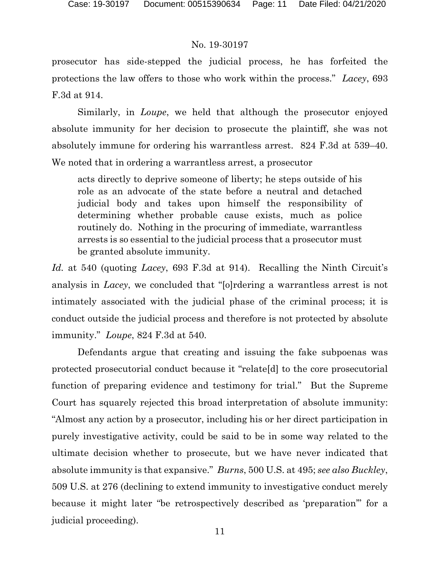prosecutor has side-stepped the judicial process, he has forfeited the protections the law offers to those who work within the process." *Lacey*, 693 F.3d at 914.

Similarly, in *Loupe*, we held that although the prosecutor enjoyed absolute immunity for her decision to prosecute the plaintiff, she was not absolutely immune for ordering his warrantless arrest. 824 F.3d at 539–40. We noted that in ordering a warrantless arrest, a prosecutor

acts directly to deprive someone of liberty; he steps outside of his role as an advocate of the state before a neutral and detached judicial body and takes upon himself the responsibility of determining whether probable cause exists, much as police routinely do. Nothing in the procuring of immediate, warrantless arrests is so essential to the judicial process that a prosecutor must be granted absolute immunity.

*Id.* at 540 (quoting *Lacey*, 693 F.3d at 914). Recalling the Ninth Circuit's analysis in *Lacey*, we concluded that "[o]rdering a warrantless arrest is not intimately associated with the judicial phase of the criminal process; it is conduct outside the judicial process and therefore is not protected by absolute immunity." *Loupe*, 824 F.3d at 540.

Defendants argue that creating and issuing the fake subpoenas was protected prosecutorial conduct because it "relate[d] to the core prosecutorial function of preparing evidence and testimony for trial." But the Supreme Court has squarely rejected this broad interpretation of absolute immunity: "Almost any action by a prosecutor, including his or her direct participation in purely investigative activity, could be said to be in some way related to the ultimate decision whether to prosecute, but we have never indicated that absolute immunity is that expansive." *Burns*, 500 U.S. at 495; *see also Buckley*, 509 U.S. at 276 (declining to extend immunity to investigative conduct merely because it might later "be retrospectively described as 'preparation'" for a judicial proceeding).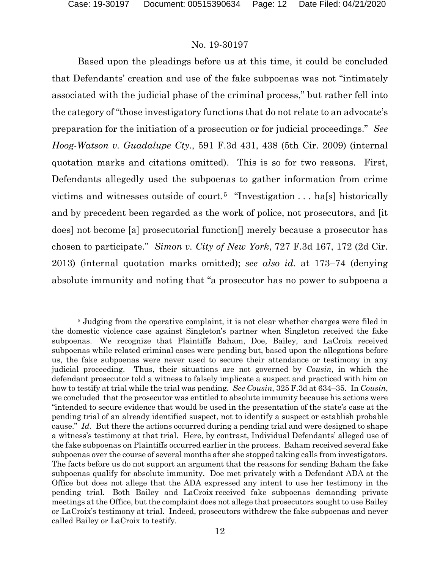Based upon the pleadings before us at this time, it could be concluded that Defendants' creation and use of the fake subpoenas was not "intimately associated with the judicial phase of the criminal process," but rather fell into the category of "those investigatory functions that do not relate to an advocate's preparation for the initiation of a prosecution or for judicial proceedings." *See Hoog-Watson v. Guadalupe Cty.*, 591 F.3d 431, 438 (5th Cir. 2009) (internal quotation marks and citations omitted). This is so for two reasons. First, Defendants allegedly used the subpoenas to gather information from crime victims and witnesses outside of court.<sup>[5](#page-11-0)</sup> "Investigation  $\dots$  has historically and by precedent been regarded as the work of police, not prosecutors, and [it does] not become [a] prosecutorial function[] merely because a prosecutor has chosen to participate." *Simon v. City of New York*, 727 F.3d 167, 172 (2d Cir. 2013) (internal quotation marks omitted); *see also id.* at 173–74 (denying absolute immunity and noting that "a prosecutor has no power to subpoena a

<span id="page-11-0"></span><sup>&</sup>lt;sup>5</sup> Judging from the operative complaint, it is not clear whether charges were filed in the domestic violence case against Singleton's partner when Singleton received the fake subpoenas. We recognize that Plaintiffs Baham, Doe, Bailey, and LaCroix received subpoenas while related criminal cases were pending but, based upon the allegations before us, the fake subpoenas were never used to secure their attendance or testimony in any judicial proceeding. Thus, their situations are not governed by *Cousin*, in which the defendant prosecutor told a witness to falsely implicate a suspect and practiced with him on how to testify at trial while the trial was pending. *See Cousin*, 325 F.3d at 634–35. In *Cousin*, we concluded that the prosecutor was entitled to absolute immunity because his actions were "intended to secure evidence that would be used in the presentation of the state's case at the pending trial of an already identified suspect, not to identify a suspect or establish probable cause." *Id.* But there the actions occurred during a pending trial and were designed to shape a witness's testimony at that trial. Here, by contrast, Individual Defendants' alleged use of the fake subpoenas on Plaintiffs occurred earlier in the process. Baham received several fake subpoenas over the course of several months after she stopped taking calls from investigators. The facts before us do not support an argument that the reasons for sending Baham the fake subpoenas qualify for absolute immunity. Doe met privately with a Defendant ADA at the Office but does not allege that the ADA expressed any intent to use her testimony in the pending trial. Both Bailey and LaCroix received fake subpoenas demanding private meetings at the Office, but the complaint does not allege that prosecutors sought to use Bailey or LaCroix's testimony at trial. Indeed, prosecutors withdrew the fake subpoenas and never called Bailey or LaCroix to testify.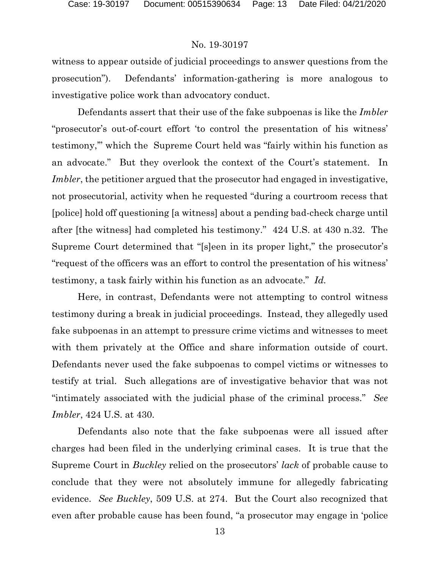witness to appear outside of judicial proceedings to answer questions from the prosecution"). Defendants' information-gathering is more analogous to investigative police work than advocatory conduct.

Defendants assert that their use of the fake subpoenas is like the *Imbler*  "prosecutor's out-of-court effort 'to control the presentation of his witness' testimony,'" which the Supreme Court held was "fairly within his function as an advocate." But they overlook the context of the Court's statement. In *Imbler*, the petitioner argued that the prosecutor had engaged in investigative, not prosecutorial, activity when he requested "during a courtroom recess that [police] hold off questioning [a witness] about a pending bad-check charge until after [the witness] had completed his testimony." 424 U.S. at 430 n.32. The Supreme Court determined that "[s]een in its proper light," the prosecutor's "request of the officers was an effort to control the presentation of his witness' testimony, a task fairly within his function as an advocate." *Id.*

Here, in contrast, Defendants were not attempting to control witness testimony during a break in judicial proceedings. Instead, they allegedly used fake subpoenas in an attempt to pressure crime victims and witnesses to meet with them privately at the Office and share information outside of court. Defendants never used the fake subpoenas to compel victims or witnesses to testify at trial. Such allegations are of investigative behavior that was not "intimately associated with the judicial phase of the criminal process." *See Imbler*, 424 U.S. at 430.

Defendants also note that the fake subpoenas were all issued after charges had been filed in the underlying criminal cases. It is true that the Supreme Court in *Buckley* relied on the prosecutors' *lack* of probable cause to conclude that they were not absolutely immune for allegedly fabricating evidence. *See Buckley*, 509 U.S. at 274. But the Court also recognized that even after probable cause has been found, "a prosecutor may engage in 'police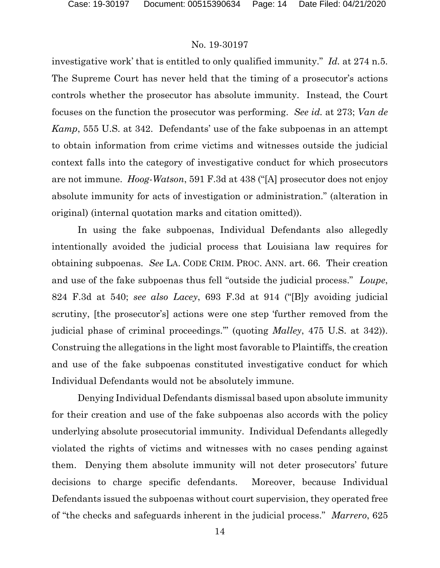investigative work' that is entitled to only qualified immunity." *Id.* at 274 n.5. The Supreme Court has never held that the timing of a prosecutor's actions controls whether the prosecutor has absolute immunity. Instead, the Court focuses on the function the prosecutor was performing. *See id.* at 273; *Van de Kamp*, 555 U.S. at 342. Defendants' use of the fake subpoenas in an attempt to obtain information from crime victims and witnesses outside the judicial context falls into the category of investigative conduct for which prosecutors are not immune. *Hoog-Watson*, 591 F.3d at 438 ("[A] prosecutor does not enjoy absolute immunity for acts of investigation or administration." (alteration in original) (internal quotation marks and citation omitted)).

In using the fake subpoenas, Individual Defendants also allegedly intentionally avoided the judicial process that Louisiana law requires for obtaining subpoenas. *See* LA. CODE CRIM. PROC. ANN. art. 66. Their creation and use of the fake subpoenas thus fell "outside the judicial process." *Loupe*, 824 F.3d at 540; *see also Lacey*, 693 F.3d at 914 ("[B]y avoiding judicial scrutiny, [the prosecutor's] actions were one step 'further removed from the judicial phase of criminal proceedings.'" (quoting *Malley*, 475 U.S. at 342)). Construing the allegations in the light most favorable to Plaintiffs, the creation and use of the fake subpoenas constituted investigative conduct for which Individual Defendants would not be absolutely immune.

Denying Individual Defendants dismissal based upon absolute immunity for their creation and use of the fake subpoenas also accords with the policy underlying absolute prosecutorial immunity. Individual Defendants allegedly violated the rights of victims and witnesses with no cases pending against them. Denying them absolute immunity will not deter prosecutors' future decisions to charge specific defendants. Moreover, because Individual Defendants issued the subpoenas without court supervision, they operated free of "the checks and safeguards inherent in the judicial process." *Marrero*, 625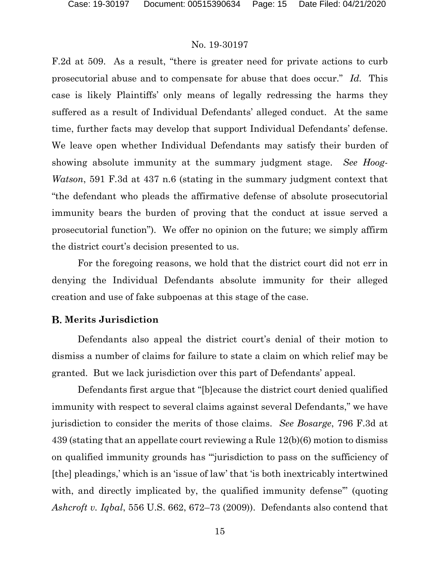F.2d at 509. As a result, "there is greater need for private actions to curb prosecutorial abuse and to compensate for abuse that does occur." *Id.* This case is likely Plaintiffs' only means of legally redressing the harms they suffered as a result of Individual Defendants' alleged conduct. At the same time, further facts may develop that support Individual Defendants' defense. We leave open whether Individual Defendants may satisfy their burden of showing absolute immunity at the summary judgment stage. *See Hoog-Watson*, 591 F.3d at 437 n.6 (stating in the summary judgment context that "the defendant who pleads the affirmative defense of absolute prosecutorial immunity bears the burden of proving that the conduct at issue served a prosecutorial function"). We offer no opinion on the future; we simply affirm the district court's decision presented to us.

For the foregoing reasons, we hold that the district court did not err in denying the Individual Defendants absolute immunity for their alleged creation and use of fake subpoenas at this stage of the case.

#### **Merits Jurisdiction**

Defendants also appeal the district court's denial of their motion to dismiss a number of claims for failure to state a claim on which relief may be granted. But we lack jurisdiction over this part of Defendants' appeal.

Defendants first argue that "[b]ecause the district court denied qualified immunity with respect to several claims against several Defendants," we have jurisdiction to consider the merits of those claims. *See Bosarge*, 796 F.3d at 439 (stating that an appellate court reviewing a Rule 12(b)(6) motion to dismiss on qualified immunity grounds has "'jurisdiction to pass on the sufficiency of [the] pleadings,' which is an 'issue of law' that 'is both inextricably intertwined with, and directly implicated by, the qualified immunity defense" (quoting *Ashcroft v. Iqbal*, 556 U.S. 662, 672–73 (2009)). Defendants also contend that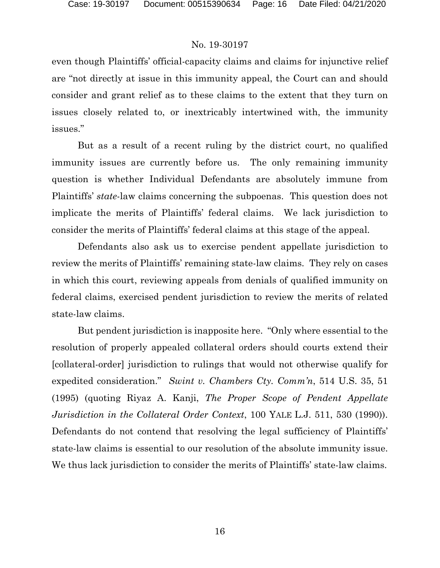even though Plaintiffs' official-capacity claims and claims for injunctive relief are "not directly at issue in this immunity appeal, the Court can and should consider and grant relief as to these claims to the extent that they turn on issues closely related to, or inextricably intertwined with, the immunity issues."

But as a result of a recent ruling by the district court, no qualified immunity issues are currently before us. The only remaining immunity question is whether Individual Defendants are absolutely immune from Plaintiffs' *state*-law claims concerning the subpoenas. This question does not implicate the merits of Plaintiffs' federal claims. We lack jurisdiction to consider the merits of Plaintiffs' federal claims at this stage of the appeal.

Defendants also ask us to exercise pendent appellate jurisdiction to review the merits of Plaintiffs' remaining state-law claims. They rely on cases in which this court, reviewing appeals from denials of qualified immunity on federal claims, exercised pendent jurisdiction to review the merits of related state-law claims.

But pendent jurisdiction is inapposite here. "Only where essential to the resolution of properly appealed collateral orders should courts extend their [collateral-order] jurisdiction to rulings that would not otherwise qualify for expedited consideration." *Swint v. Chambers Cty. Comm'n*, 514 U.S. 35, 51 (1995) (quoting Riyaz A. Kanji, *The Proper Scope of Pendent Appellate Jurisdiction in the Collateral Order Context*, 100 YALE L.J. 511, 530 (1990)). Defendants do not contend that resolving the legal sufficiency of Plaintiffs' state-law claims is essential to our resolution of the absolute immunity issue. We thus lack jurisdiction to consider the merits of Plaintiffs' state-law claims.